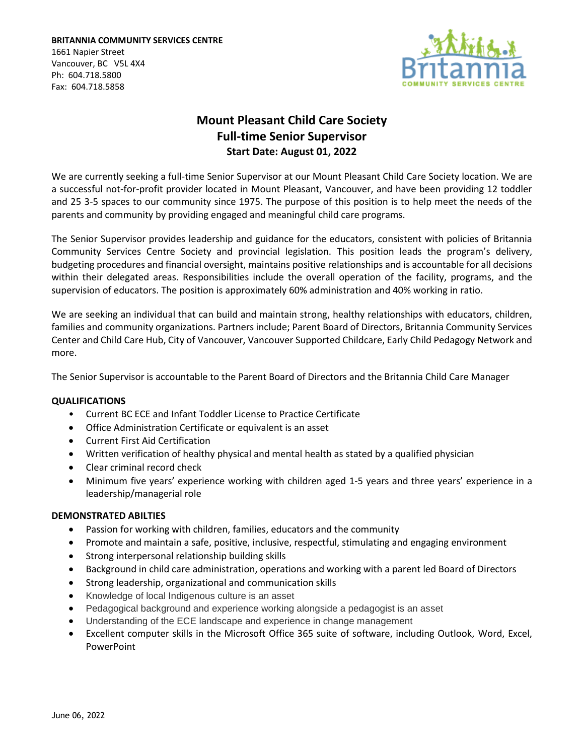**BRITANNIA COMMUNITY SERVICES CENTRE** 1661 Napier Street Vancouver, BC V5L 4X4 Ph: 604.718.5800 Fax: 604.718.5858



# **Mount Pleasant Child Care Society Full-time Senior Supervisor Start Date: August 01, 2022**

We are currently seeking a full-time Senior Supervisor at our Mount Pleasant Child Care Society location. We are a successful not-for-profit provider located in Mount Pleasant, Vancouver, and have been providing 12 toddler and 25 3-5 spaces to our community since 1975. The purpose of this position is to help meet the needs of the parents and community by providing engaged and meaningful child care programs.

The Senior Supervisor provides leadership and guidance for the educators, consistent with policies of Britannia Community Services Centre Society and provincial legislation. This position leads the program's delivery, budgeting procedures and financial oversight, maintains positive relationships and is accountable for all decisions within their delegated areas. Responsibilities include the overall operation of the facility, programs, and the supervision of educators. The position is approximately 60% administration and 40% working in ratio.

We are seeking an individual that can build and maintain strong, healthy relationships with educators, children, families and community organizations. Partners include; Parent Board of Directors, Britannia Community Services Center and Child Care Hub, City of Vancouver, Vancouver Supported Childcare, Early Child Pedagogy Network and more.

The Senior Supervisor is accountable to the Parent Board of Directors and the Britannia Child Care Manager

## **QUALIFICATIONS**

- Current BC ECE and Infant Toddler License to Practice Certificate
- Office Administration Certificate or equivalent is an asset
- Current First Aid Certification
- Written verification of healthy physical and mental health as stated by a qualified physician
- Clear criminal record check
- Minimum five years' experience working with children aged 1-5 years and three years' experience in a leadership/managerial role

## **DEMONSTRATED ABILTIES**

- Passion for working with children, families, educators and the community
- Promote and maintain a safe, positive, inclusive, respectful, stimulating and engaging environment
- Strong interpersonal relationship building skills
- Background in child care administration, operations and working with a parent led Board of Directors
- Strong leadership, organizational and communication skills
- Knowledge of local Indigenous culture is an asset
- Pedagogical background and experience working alongside a pedagogist is an asset
- Understanding of the ECE landscape and experience in change management
- Excellent computer skills in the Microsoft Office 365 suite of software, including Outlook, Word, Excel, PowerPoint